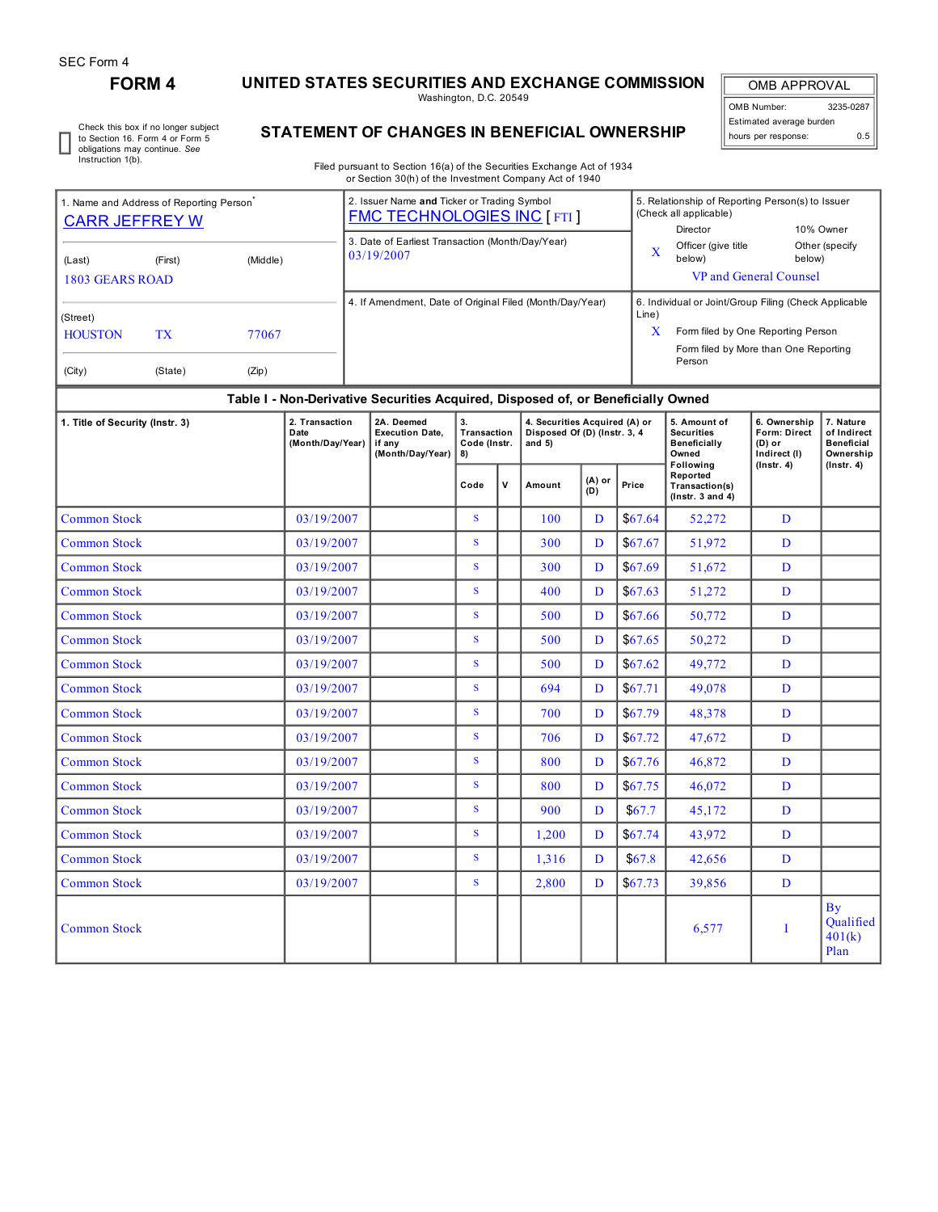## **FORM 4 UNITED STATES SECURITIES AND EXCHANGE COMMISSION**

Washington, D.C. 20549

OMB APPROVAL OMB Number: 3235-0287 Estimated average burden hours per response: 0.5

Check this box if no longer subject to Section 16. Form 4 or Form 5 obligations may continue. *See* Instruction 1(b).

## **STATEMENT OF CHANGES IN BENEFICIAL OWNERSHIP**

Filed pursuant to Section 16(a) of the Securities Exchange Act of 1934 or Section 30(h) of the Investment Company Act of 1940

| 1. Name and Address of Reporting Person<br><b>CARR JEFFREY W</b>        |         |          | 2. Issuer Name and Ticker or Trading Symbol<br><b>FMC TECHNOLOGIES INC [FTI]</b> |                          | 5. Relationship of Reporting Person(s) to Issuer<br>(Check all applicable)<br>Director                                                         | 10% Owner                |  |
|-------------------------------------------------------------------------|---------|----------|----------------------------------------------------------------------------------|--------------------------|------------------------------------------------------------------------------------------------------------------------------------------------|--------------------------|--|
| (Last)<br>1803 GEARS ROAD                                               | (First) | (Middle) | 3. Date of Earliest Transaction (Month/Day/Year)<br>03/19/2007                   | $\mathbf v$<br>$\lambda$ | Officer (give title<br>below)<br>VP and General Counsel                                                                                        | Other (specify<br>below) |  |
| (Street)<br><b>HOUSTON</b><br>TX<br>77067<br>(City)<br>(State)<br>(Zip) |         |          | 4. If Amendment, Date of Original Filed (Month/Day/Year)                         | Line)<br>X               | 6. Individual or Joint/Group Filing (Check Applicable<br>Form filed by One Reporting Person<br>Form filed by More than One Reporting<br>Person |                          |  |

## **Table I - Non-Derivative Securities Acquired, Disposed of, or Beneficially Owned**

| 1. Title of Security (Instr. 3) | 2. Transaction<br>Date<br>(Month/Day/Year) | 2A. Deemed<br><b>Execution Date.</b><br>if any<br>(Month/Day/Year) | 3.<br>Transaction<br>Code (Instr.<br>8) |             | 4. Securities Acquired (A) or<br>Disposed Of (D) (Instr. 3, 4<br>and $5)$ |               |          | 5. Amount of<br><b>Securities</b><br><b>Beneficially</b><br>Owned | 6. Ownership<br>Form: Direct<br>$(D)$ or<br>Indirect (I)<br>$($ Instr. 4 $)$ | 7. Nature<br>of Indirect<br><b>Beneficial</b><br>Ownership |
|---------------------------------|--------------------------------------------|--------------------------------------------------------------------|-----------------------------------------|-------------|---------------------------------------------------------------------------|---------------|----------|-------------------------------------------------------------------|------------------------------------------------------------------------------|------------------------------------------------------------|
|                                 |                                            |                                                                    | Code                                    | $\mathbf v$ | Amount                                                                    | (A) or<br>(D) | Price    | Following<br>Reported<br>Transaction(s)<br>( $lnstr. 3 and 4$ )   |                                                                              | $($ lnstr. 4 $)$                                           |
| <b>Common Stock</b>             | 03/19/2007                                 |                                                                    | S                                       |             | 100                                                                       | D             | \$67.64  | 52,272                                                            | D                                                                            |                                                            |
| <b>Common Stock</b>             | 03/19/2007                                 |                                                                    | S.                                      |             | 300                                                                       | D             | \$67.67  | 51,972                                                            | D                                                                            |                                                            |
| <b>Common Stock</b>             | 03/19/2007                                 |                                                                    | S                                       |             | 300                                                                       | D             | \$67.69  | 51,672                                                            | D                                                                            |                                                            |
| <b>Common Stock</b>             | 03/19/2007                                 |                                                                    | S.                                      |             | 400                                                                       | D             | \$67.63  | 51,272                                                            | D                                                                            |                                                            |
| <b>Common Stock</b>             | 03/19/2007                                 |                                                                    | S.                                      |             | 500                                                                       | D             | \$67.66  | 50,772                                                            | D                                                                            |                                                            |
| <b>Common Stock</b>             | 03/19/2007                                 |                                                                    | S                                       |             | 500                                                                       | D             | \$67.65  | 50,272                                                            | D                                                                            |                                                            |
| <b>Common Stock</b>             | 03/19/2007                                 |                                                                    | S                                       |             | 500                                                                       | D             | \$67.62  | 49,772                                                            | D                                                                            |                                                            |
| <b>Common Stock</b>             | 03/19/2007                                 |                                                                    | S                                       |             | 694                                                                       | D             | \$67.71  | 49,078                                                            | D                                                                            |                                                            |
| <b>Common Stock</b>             | 03/19/2007                                 |                                                                    | S                                       |             | 700                                                                       | D             | \$67.79  | 48,378                                                            | D                                                                            |                                                            |
| <b>Common Stock</b>             | 03/19/2007                                 |                                                                    | S                                       |             | 706                                                                       | D             | \$67.72  | 47,672                                                            | D                                                                            |                                                            |
| <b>Common Stock</b>             | 03/19/2007                                 |                                                                    | S                                       |             | 800                                                                       | $\mathbf{D}$  | \$67.76  | 46,872                                                            | D                                                                            |                                                            |
| <b>Common Stock</b>             | 03/19/2007                                 |                                                                    | S                                       |             | 800                                                                       | D             | \$67.75  | 46,072                                                            | D                                                                            |                                                            |
| <b>Common Stock</b>             | 03/19/2007                                 |                                                                    | S                                       |             | 900                                                                       | D             | \$67.7   | 45,172                                                            | D                                                                            |                                                            |
| <b>Common Stock</b>             | 03/19/2007                                 |                                                                    | S                                       |             | 1,200                                                                     | D             | \$67.74  | 43,972                                                            | D                                                                            |                                                            |
| <b>Common Stock</b>             | 03/19/2007                                 |                                                                    | S.                                      |             | 1,316                                                                     | D             | \$67.8\$ | 42,656                                                            | D                                                                            |                                                            |
| <b>Common Stock</b>             | 03/19/2007                                 |                                                                    | S                                       |             | 2,800                                                                     | D             | \$67.73  | 39,856                                                            | D                                                                            |                                                            |
| <b>Common Stock</b>             |                                            |                                                                    |                                         |             |                                                                           |               |          | 6,577                                                             | T                                                                            | <b>By</b><br>Qualified<br>401(k)<br>Plan                   |